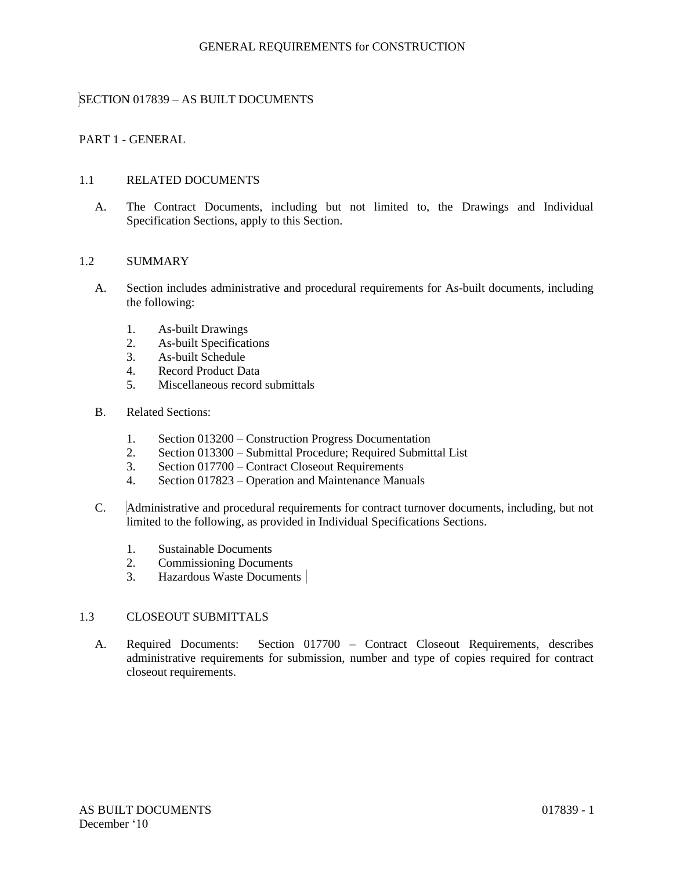# SECTION 017839 – AS BUILT DOCUMENTS

# PART 1 - GENERAL

### 1.1 RELATED DOCUMENTS

A. The Contract Documents, including but not limited to, the Drawings and Individual Specification Sections, apply to this Section.

#### 1.2 SUMMARY

- A. Section includes administrative and procedural requirements for As-built documents, including the following:
	- 1. As-built Drawings
	- 2. As-built Specifications
	- 3. As-built Schedule
	- 4. Record Product Data
	- 5. Miscellaneous record submittals
- B. Related Sections:
	- 1. Section 013200 Construction Progress Documentation
	- 2. Section 013300 Submittal Procedure; Required Submittal List
	- 3. Section 017700 Contract Closeout Requirements
	- 4. Section 017823 Operation and Maintenance Manuals
- C. Administrative and procedural requirements for contract turnover documents, including, but not limited to the following, as provided in Individual Specifications Sections.
	- 1. Sustainable Documents
	- 2. Commissioning Documents
	- 3. Hazardous Waste Documents

## 1.3 CLOSEOUT SUBMITTALS

A. Required Documents: Section 017700 – Contract Closeout Requirements, describes administrative requirements for submission, number and type of copies required for contract closeout requirements.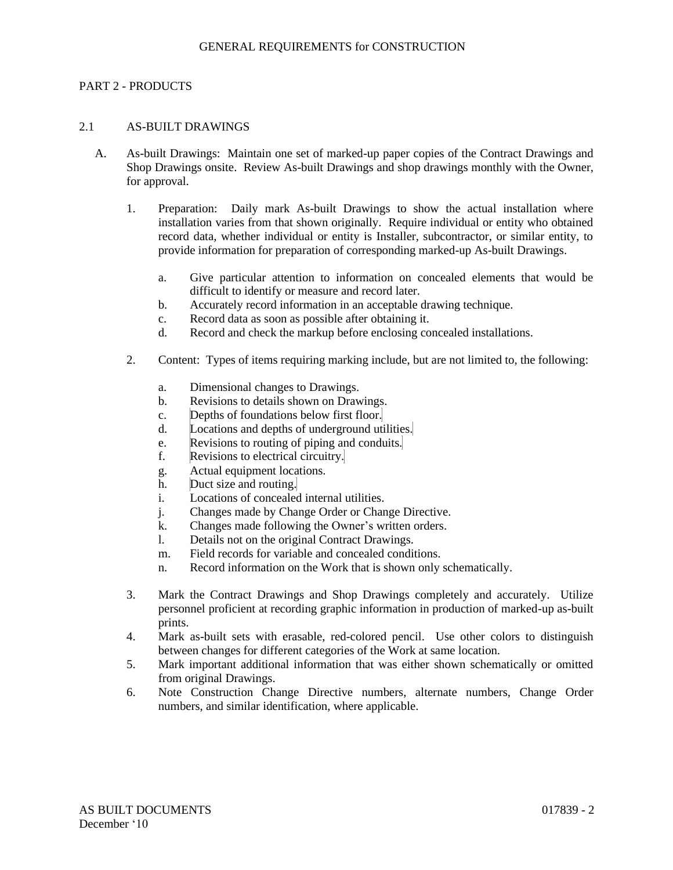### PART 2 - PRODUCTS

### 2.1 AS-BUILT DRAWINGS

- A. As-built Drawings: Maintain one set of marked-up paper copies of the Contract Drawings and Shop Drawings onsite. Review As-built Drawings and shop drawings monthly with the Owner, for approval.
	- 1. Preparation: Daily mark As-built Drawings to show the actual installation where installation varies from that shown originally. Require individual or entity who obtained record data, whether individual or entity is Installer, subcontractor, or similar entity, to provide information for preparation of corresponding marked-up As-built Drawings.
		- a. Give particular attention to information on concealed elements that would be difficult to identify or measure and record later.
		- b. Accurately record information in an acceptable drawing technique.
		- c. Record data as soon as possible after obtaining it.
		- d. Record and check the markup before enclosing concealed installations.
	- 2. Content: Types of items requiring marking include, but are not limited to, the following:
		- a. Dimensional changes to Drawings.
		- b. Revisions to details shown on Drawings.
		- c. Depths of foundations below first floor.
		- d. Locations and depths of underground utilities.
		- e. Revisions to routing of piping and conduits.
		- f. Revisions to electrical circuitry.
		- g. Actual equipment locations.
		- h. Duct size and routing.
		- i. Locations of concealed internal utilities.
		- j. Changes made by Change Order or Change Directive.
		- k. Changes made following the Owner's written orders.
		- l. Details not on the original Contract Drawings.
		- m. Field records for variable and concealed conditions.
		- n. Record information on the Work that is shown only schematically.
	- 3. Mark the Contract Drawings and Shop Drawings completely and accurately. Utilize personnel proficient at recording graphic information in production of marked-up as-built prints.
	- 4. Mark as-built sets with erasable, red-colored pencil. Use other colors to distinguish between changes for different categories of the Work at same location.
	- 5. Mark important additional information that was either shown schematically or omitted from original Drawings.
	- 6. Note Construction Change Directive numbers, alternate numbers, Change Order numbers, and similar identification, where applicable.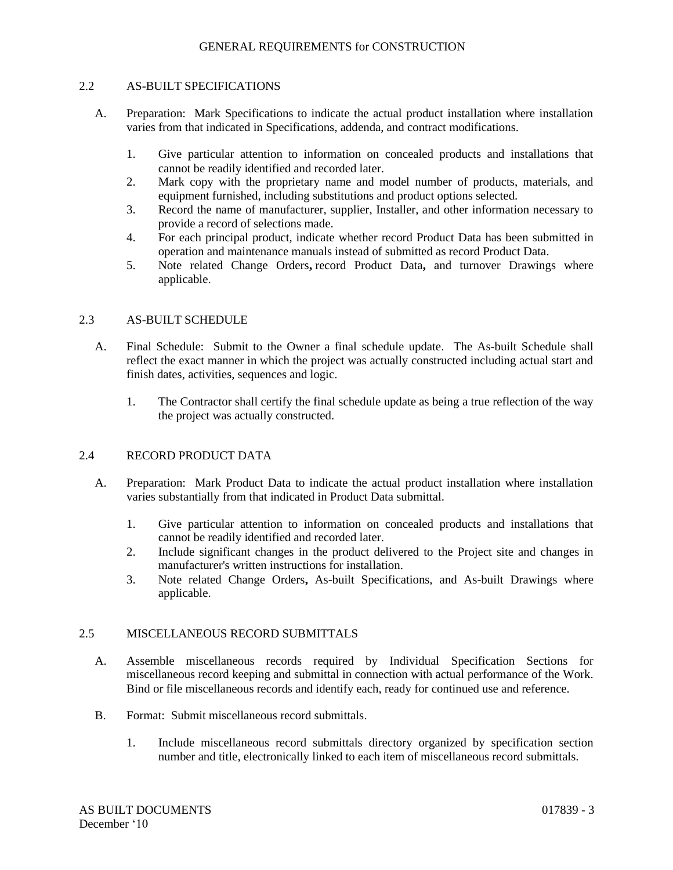## 2.2 AS-BUILT SPECIFICATIONS

- A. Preparation: Mark Specifications to indicate the actual product installation where installation varies from that indicated in Specifications, addenda, and contract modifications.
	- 1. Give particular attention to information on concealed products and installations that cannot be readily identified and recorded later.
	- 2. Mark copy with the proprietary name and model number of products, materials, and equipment furnished, including substitutions and product options selected.
	- 3. Record the name of manufacturer, supplier, Installer, and other information necessary to provide a record of selections made.
	- 4. For each principal product, indicate whether record Product Data has been submitted in operation and maintenance manuals instead of submitted as record Product Data.
	- 5. Note related Change Orders**,** record Product Data**,** and turnover Drawings where applicable.

## 2.3 AS-BUILT SCHEDULE

- A. Final Schedule: Submit to the Owner a final schedule update. The As-built Schedule shall reflect the exact manner in which the project was actually constructed including actual start and finish dates, activities, sequences and logic.
	- 1. The Contractor shall certify the final schedule update as being a true reflection of the way the project was actually constructed.

### 2.4 RECORD PRODUCT DATA

- A. Preparation: Mark Product Data to indicate the actual product installation where installation varies substantially from that indicated in Product Data submittal.
	- 1. Give particular attention to information on concealed products and installations that cannot be readily identified and recorded later.
	- 2. Include significant changes in the product delivered to the Project site and changes in manufacturer's written instructions for installation.
	- 3. Note related Change Orders**,** As-built Specifications, and As-built Drawings where applicable.

#### 2.5 MISCELLANEOUS RECORD SUBMITTALS

- A. Assemble miscellaneous records required by Individual Specification Sections for miscellaneous record keeping and submittal in connection with actual performance of the Work. Bind or file miscellaneous records and identify each, ready for continued use and reference.
- B. Format: Submit miscellaneous record submittals.
	- 1. Include miscellaneous record submittals directory organized by specification section number and title, electronically linked to each item of miscellaneous record submittals.